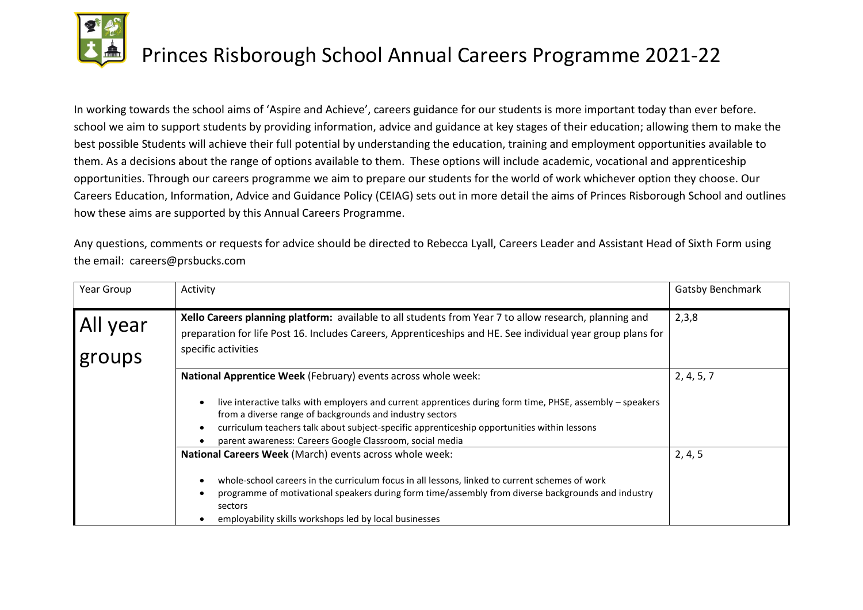

In working towards the school aims of 'Aspire and Achieve', careers guidance for our students is more important today than ever before. school we aim to support students by providing information, advice and guidance at key stages of their education; allowing them to make the best possible Students will achieve their full potential by understanding the education, training and employment opportunities available to them. As a decisions about the range of options available to them. These options will include academic, vocational and apprenticeship opportunities. Through our careers programme we aim to prepare our students for the world of work whichever option they choose. Our Careers Education, Information, Advice and Guidance Policy (CEIAG) sets out in more detail the aims of Princes Risborough School and outlines how these aims are supported by this Annual Careers Programme.

Any questions, comments or requests for advice should be directed to Rebecca Lyall, Careers Leader and Assistant Head of Sixth Form using the email: careers@prsbucks.com

| Year Group         | Activity                                                                                                                                                                                                                                                                                                                                                                                                                    | <b>Gatsby Benchmark</b> |
|--------------------|-----------------------------------------------------------------------------------------------------------------------------------------------------------------------------------------------------------------------------------------------------------------------------------------------------------------------------------------------------------------------------------------------------------------------------|-------------------------|
| All year<br>groups | Xello Careers planning platform: available to all students from Year 7 to allow research, planning and<br>preparation for life Post 16. Includes Careers, Apprenticeships and HE. See individual year group plans for<br>specific activities                                                                                                                                                                                | 2,3,8                   |
|                    | National Apprentice Week (February) events across whole week:<br>live interactive talks with employers and current apprentices during form time, PHSE, assembly - speakers<br>$\bullet$<br>from a diverse range of backgrounds and industry sectors<br>curriculum teachers talk about subject-specific apprenticeship opportunities within lessons<br>$\bullet$<br>parent awareness: Careers Google Classroom, social media | 2, 4, 5, 7              |
|                    | National Careers Week (March) events across whole week:<br>whole-school careers in the curriculum focus in all lessons, linked to current schemes of work<br>$\bullet$<br>programme of motivational speakers during form time/assembly from diverse backgrounds and industry<br>sectors<br>employability skills workshops led by local businesses                                                                           | 2, 4, 5                 |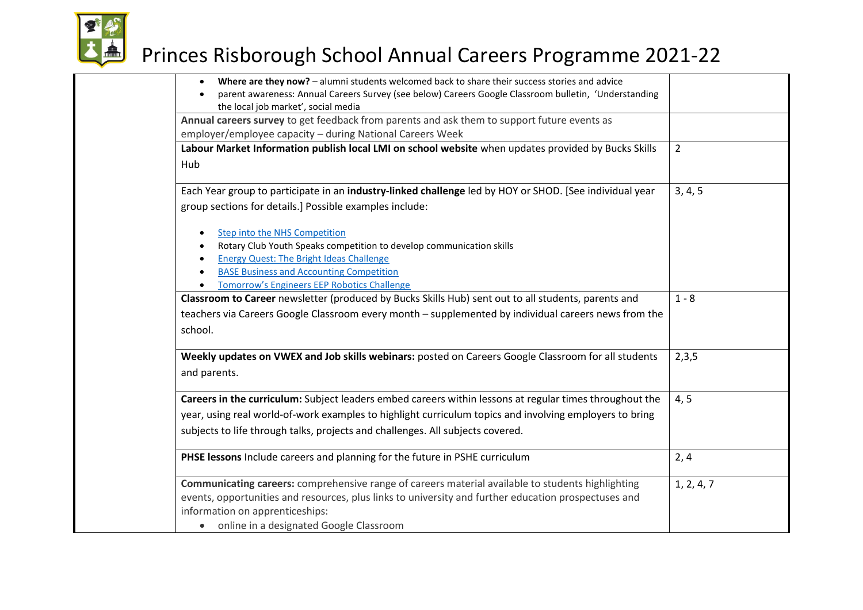

| Where are they now? - alumni students welcomed back to share their success stories and advice<br>$\bullet$         |                |
|--------------------------------------------------------------------------------------------------------------------|----------------|
| parent awareness: Annual Careers Survey (see below) Careers Google Classroom bulletin, 'Understanding<br>$\bullet$ |                |
| the local job market', social media                                                                                |                |
| Annual careers survey to get feedback from parents and ask them to support future events as                        |                |
| employer/employee capacity - during National Careers Week                                                          |                |
| Labour Market Information publish local LMI on school website when updates provided by Bucks Skills                | $\overline{2}$ |
| Hub                                                                                                                |                |
|                                                                                                                    |                |
| Each Year group to participate in an industry-linked challenge led by HOY or SHOD. [See individual year            | 3, 4, 5        |
| group sections for details.] Possible examples include:                                                            |                |
|                                                                                                                    |                |
| <b>Step into the NHS Competition</b><br>$\bullet$                                                                  |                |
| Rotary Club Youth Speaks competition to develop communication skills<br>$\bullet$                                  |                |
| <b>Energy Quest: The Bright Ideas Challenge</b><br>$\bullet$                                                       |                |
| <b>BASE Business and Accounting Competition</b><br>$\bullet$                                                       |                |
| <b>Tomorrow's Engineers EEP Robotics Challenge</b>                                                                 |                |
| Classroom to Career newsletter (produced by Bucks Skills Hub) sent out to all students, parents and                | $1 - 8$        |
| teachers via Careers Google Classroom every month - supplemented by individual careers news from the               |                |
| school.                                                                                                            |                |
|                                                                                                                    |                |
| Weekly updates on VWEX and Job skills webinars: posted on Careers Google Classroom for all students                | 2,3,5          |
| and parents.                                                                                                       |                |
|                                                                                                                    |                |
| Careers in the curriculum: Subject leaders embed careers within lessons at regular times throughout the            | 4, 5           |
| year, using real world-of-work examples to highlight curriculum topics and involving employers to bring            |                |
| subjects to life through talks, projects and challenges. All subjects covered.                                     |                |
|                                                                                                                    |                |
| PHSE lessons Include careers and planning for the future in PSHE curriculum                                        | 2, 4           |
|                                                                                                                    |                |
| <b>Communicating careers:</b> comprehensive range of careers material available to students highlighting           | 1, 2, 4, 7     |
| events, opportunities and resources, plus links to university and further education prospectuses and               |                |
| information on apprenticeships:                                                                                    |                |
| • online in a designated Google Classroom                                                                          |                |
|                                                                                                                    |                |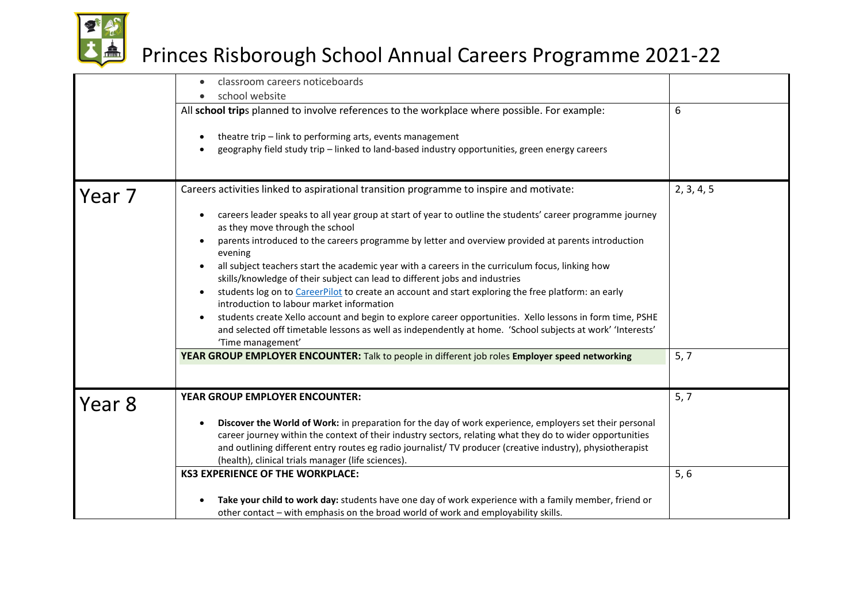

|        | classroom careers noticeboards<br>$\bullet$<br>school website                                                                                                                                                                                                                                                                                                                                                                                                                                                                                                                                                                                                                                                                                                                                                                                                                                                                                                                      |            |
|--------|------------------------------------------------------------------------------------------------------------------------------------------------------------------------------------------------------------------------------------------------------------------------------------------------------------------------------------------------------------------------------------------------------------------------------------------------------------------------------------------------------------------------------------------------------------------------------------------------------------------------------------------------------------------------------------------------------------------------------------------------------------------------------------------------------------------------------------------------------------------------------------------------------------------------------------------------------------------------------------|------------|
|        | All school trips planned to involve references to the workplace where possible. For example:                                                                                                                                                                                                                                                                                                                                                                                                                                                                                                                                                                                                                                                                                                                                                                                                                                                                                       | 6          |
|        | theatre trip - link to performing arts, events management<br>٠<br>geography field study trip - linked to land-based industry opportunities, green energy careers                                                                                                                                                                                                                                                                                                                                                                                                                                                                                                                                                                                                                                                                                                                                                                                                                   |            |
| Year 7 | Careers activities linked to aspirational transition programme to inspire and motivate:                                                                                                                                                                                                                                                                                                                                                                                                                                                                                                                                                                                                                                                                                                                                                                                                                                                                                            | 2, 3, 4, 5 |
|        | careers leader speaks to all year group at start of year to outline the students' career programme journey<br>$\bullet$<br>as they move through the school<br>parents introduced to the careers programme by letter and overview provided at parents introduction<br>$\bullet$<br>evening<br>all subject teachers start the academic year with a careers in the curriculum focus, linking how<br>skills/knowledge of their subject can lead to different jobs and industries<br>students log on to CareerPilot to create an account and start exploring the free platform: an early<br>introduction to labour market information<br>students create Xello account and begin to explore career opportunities. Xello lessons in form time, PSHE<br>and selected off timetable lessons as well as independently at home. 'School subjects at work' 'Interests'<br>'Time management'<br>YEAR GROUP EMPLOYER ENCOUNTER: Talk to people in different job roles Employer speed networking | 5, 7       |
| Year 8 | YEAR GROUP EMPLOYER ENCOUNTER:                                                                                                                                                                                                                                                                                                                                                                                                                                                                                                                                                                                                                                                                                                                                                                                                                                                                                                                                                     | 5, 7       |
|        | Discover the World of Work: in preparation for the day of work experience, employers set their personal<br>career journey within the context of their industry sectors, relating what they do to wider opportunities<br>and outlining different entry routes eg radio journalist/ TV producer (creative industry), physiotherapist<br>(health), clinical trials manager (life sciences).                                                                                                                                                                                                                                                                                                                                                                                                                                                                                                                                                                                           |            |
|        | <b>KS3 EXPERIENCE OF THE WORKPLACE:</b><br>Take your child to work day: students have one day of work experience with a family member, friend or<br>other contact - with emphasis on the broad world of work and employability skills.                                                                                                                                                                                                                                                                                                                                                                                                                                                                                                                                                                                                                                                                                                                                             | 5, 6       |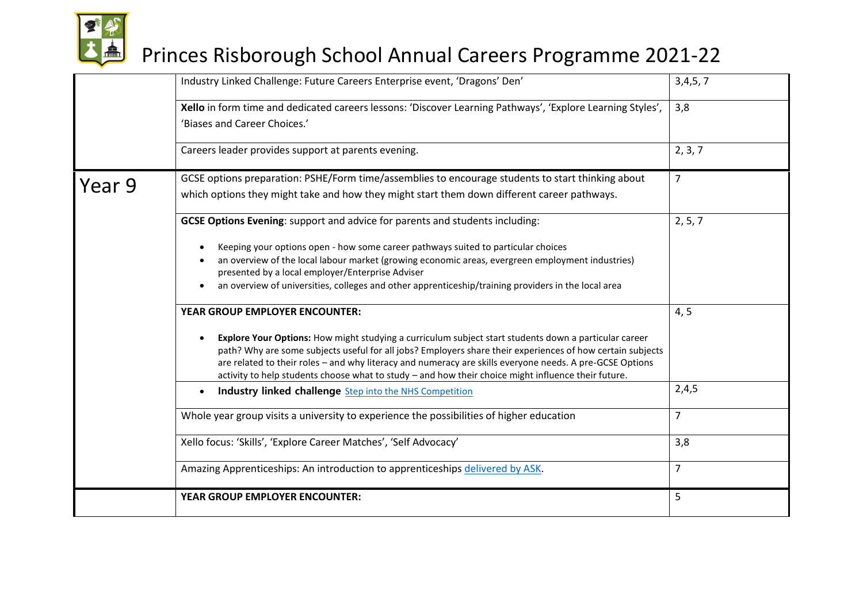

|        | Industry Linked Challenge: Future Careers Enterprise event, 'Dragons' Den'                                                                 | 3,4,5,7        |
|--------|--------------------------------------------------------------------------------------------------------------------------------------------|----------------|
|        | Xello in form time and dedicated careers lessons: 'Discover Learning Pathways', 'Explore Learning Styles',<br>'Biases and Career Choices.' | 3,8            |
|        | Careers leader provides support at parents evening.                                                                                        | 2, 3, 7        |
| Year 9 | GCSE options preparation: PSHE/Form time/assemblies to encourage students to start thinking about                                          | $\overline{7}$ |
|        | which options they might take and how they might start them down different career pathways.                                                |                |
|        | GCSE Options Evening: support and advice for parents and students including:                                                               | 2, 5, 7        |
|        | Keeping your options open - how some career pathways suited to particular choices                                                          |                |
|        | an overview of the local labour market (growing economic areas, evergreen employment industries)                                           |                |
|        | presented by a local employer/Enterprise Adviser                                                                                           |                |
|        | an overview of universities, colleges and other apprenticeship/training providers in the local area                                        |                |
|        |                                                                                                                                            |                |
|        | YEAR GROUP EMPLOYER ENCOUNTER:                                                                                                             | 4, 5           |
|        | Explore Your Options: How might studying a curriculum subject start students down a particular career                                      |                |
|        | path? Why are some subjects useful for all jobs? Employers share their experiences of how certain subjects                                 |                |
|        | are related to their roles - and why literacy and numeracy are skills everyone needs. A pre-GCSE Options                                   |                |
|        | activity to help students choose what to study - and how their choice might influence their future.                                        |                |
|        | Industry linked challenge Step into the NHS Competition<br>$\bullet$                                                                       | 2,4,5          |
|        | Whole year group visits a university to experience the possibilities of higher education                                                   | $\overline{7}$ |
|        | Xello focus: 'Skills', 'Explore Career Matches', 'Self Advocacy'                                                                           | 3,8            |
|        | Amazing Apprenticeships: An introduction to apprenticeships delivered by ASK.                                                              | $\overline{7}$ |
|        | <b>YEAR GROUP EMPLOYER ENCOUNTER:</b>                                                                                                      | 5              |
|        |                                                                                                                                            |                |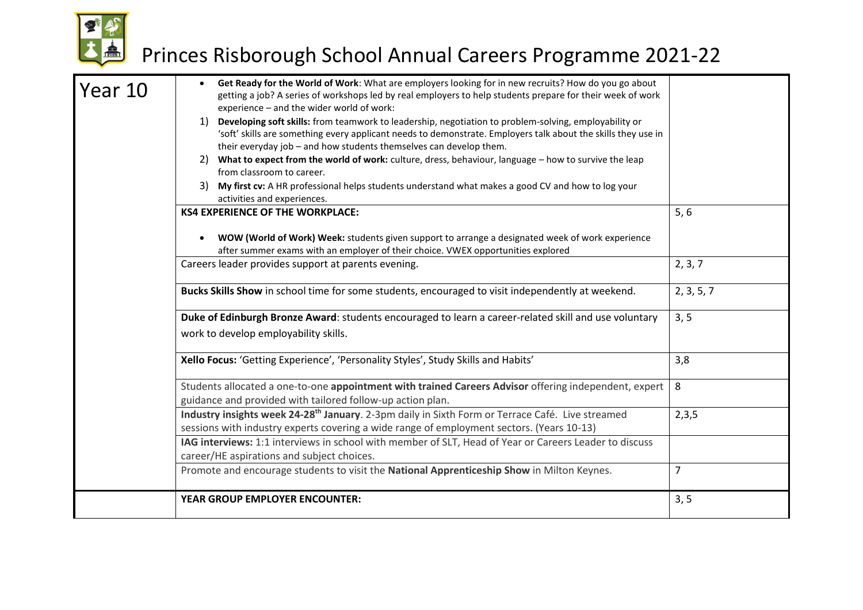

| Year 10 | Get Ready for the World of Work: What are employers looking for in new recruits? How do you go about<br>getting a job? A series of workshops led by real employers to help students prepare for their week of work<br>experience - and the wider world of work:<br>Developing soft skills: from teamwork to leadership, negotiation to problem-solving, employability or<br>1)<br>'soft' skills are something every applicant needs to demonstrate. Employers talk about the skills they use in<br>their everyday job - and how students themselves can develop them.<br>What to expect from the world of work: culture, dress, behaviour, language - how to survive the leap<br>2)<br>from classroom to career.<br>3) My first cv: A HR professional helps students understand what makes a good CV and how to log your<br>activities and experiences. |                |
|---------|---------------------------------------------------------------------------------------------------------------------------------------------------------------------------------------------------------------------------------------------------------------------------------------------------------------------------------------------------------------------------------------------------------------------------------------------------------------------------------------------------------------------------------------------------------------------------------------------------------------------------------------------------------------------------------------------------------------------------------------------------------------------------------------------------------------------------------------------------------|----------------|
|         | <b>KS4 EXPERIENCE OF THE WORKPLACE:</b>                                                                                                                                                                                                                                                                                                                                                                                                                                                                                                                                                                                                                                                                                                                                                                                                                 | 5, 6           |
|         | WOW (World of Work) Week: students given support to arrange a designated week of work experience<br>after summer exams with an employer of their choice. VWEX opportunities explored                                                                                                                                                                                                                                                                                                                                                                                                                                                                                                                                                                                                                                                                    |                |
|         | Careers leader provides support at parents evening.                                                                                                                                                                                                                                                                                                                                                                                                                                                                                                                                                                                                                                                                                                                                                                                                     | 2, 3, 7        |
|         | Bucks Skills Show in school time for some students, encouraged to visit independently at weekend.                                                                                                                                                                                                                                                                                                                                                                                                                                                                                                                                                                                                                                                                                                                                                       | 2, 3, 5, 7     |
|         | Duke of Edinburgh Bronze Award: students encouraged to learn a career-related skill and use voluntary<br>work to develop employability skills.                                                                                                                                                                                                                                                                                                                                                                                                                                                                                                                                                                                                                                                                                                          | 3, 5           |
|         | Xello Focus: 'Getting Experience', 'Personality Styles', Study Skills and Habits'                                                                                                                                                                                                                                                                                                                                                                                                                                                                                                                                                                                                                                                                                                                                                                       | 3,8            |
|         | Students allocated a one-to-one appointment with trained Careers Advisor offering independent, expert<br>guidance and provided with tailored follow-up action plan.                                                                                                                                                                                                                                                                                                                                                                                                                                                                                                                                                                                                                                                                                     | 8              |
|         | Industry insights week 24-28 <sup>th</sup> January. 2-3pm daily in Sixth Form or Terrace Café. Live streamed<br>sessions with industry experts covering a wide range of employment sectors. (Years 10-13)                                                                                                                                                                                                                                                                                                                                                                                                                                                                                                                                                                                                                                               | 2,3,5          |
|         | IAG interviews: 1:1 interviews in school with member of SLT, Head of Year or Careers Leader to discuss<br>career/HE aspirations and subject choices.                                                                                                                                                                                                                                                                                                                                                                                                                                                                                                                                                                                                                                                                                                    |                |
|         | Promote and encourage students to visit the National Apprenticeship Show in Milton Keynes.                                                                                                                                                                                                                                                                                                                                                                                                                                                                                                                                                                                                                                                                                                                                                              | $\overline{7}$ |
|         | <b>YEAR GROUP EMPLOYER ENCOUNTER:</b>                                                                                                                                                                                                                                                                                                                                                                                                                                                                                                                                                                                                                                                                                                                                                                                                                   | 3, 5           |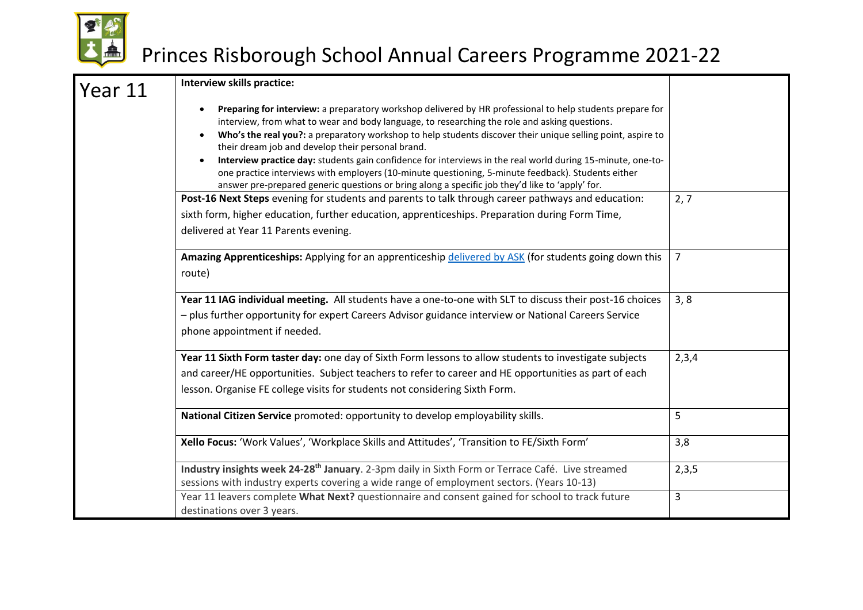

| Year 11 | Interview skills practice:                                                                                                                                                                                                                                                                                                                                                                                                                                                                                                                                                                                                                                                                                                       |                |
|---------|----------------------------------------------------------------------------------------------------------------------------------------------------------------------------------------------------------------------------------------------------------------------------------------------------------------------------------------------------------------------------------------------------------------------------------------------------------------------------------------------------------------------------------------------------------------------------------------------------------------------------------------------------------------------------------------------------------------------------------|----------------|
|         | Preparing for interview: a preparatory workshop delivered by HR professional to help students prepare for<br>$\bullet$<br>interview, from what to wear and body language, to researching the role and asking questions.<br>Who's the real you?: a preparatory workshop to help students discover their unique selling point, aspire to<br>$\bullet$<br>their dream job and develop their personal brand.<br>Interview practice day: students gain confidence for interviews in the real world during 15-minute, one-to-<br>one practice interviews with employers (10-minute questioning, 5-minute feedback). Students either<br>answer pre-prepared generic questions or bring along a specific job they'd like to 'apply' for. |                |
|         | Post-16 Next Steps evening for students and parents to talk through career pathways and education:                                                                                                                                                                                                                                                                                                                                                                                                                                                                                                                                                                                                                               | 2, 7           |
|         | sixth form, higher education, further education, apprenticeships. Preparation during Form Time,                                                                                                                                                                                                                                                                                                                                                                                                                                                                                                                                                                                                                                  |                |
|         | delivered at Year 11 Parents evening.                                                                                                                                                                                                                                                                                                                                                                                                                                                                                                                                                                                                                                                                                            |                |
|         | Amazing Apprenticeships: Applying for an apprenticeship delivered by ASK (for students going down this<br>route)                                                                                                                                                                                                                                                                                                                                                                                                                                                                                                                                                                                                                 | $\overline{7}$ |
|         | Year 11 IAG individual meeting. All students have a one-to-one with SLT to discuss their post-16 choices<br>- plus further opportunity for expert Careers Advisor guidance interview or National Careers Service<br>phone appointment if needed.                                                                                                                                                                                                                                                                                                                                                                                                                                                                                 | 3, 8           |
|         | Year 11 Sixth Form taster day: one day of Sixth Form lessons to allow students to investigate subjects<br>and career/HE opportunities. Subject teachers to refer to career and HE opportunities as part of each<br>lesson. Organise FE college visits for students not considering Sixth Form.                                                                                                                                                                                                                                                                                                                                                                                                                                   | 2,3,4          |
|         | National Citizen Service promoted: opportunity to develop employability skills.                                                                                                                                                                                                                                                                                                                                                                                                                                                                                                                                                                                                                                                  | 5              |
|         | Xello Focus: 'Work Values', 'Workplace Skills and Attitudes', 'Transition to FE/Sixth Form'                                                                                                                                                                                                                                                                                                                                                                                                                                                                                                                                                                                                                                      | 3,8            |
|         | Industry insights week 24-28 <sup>th</sup> January. 2-3pm daily in Sixth Form or Terrace Café. Live streamed                                                                                                                                                                                                                                                                                                                                                                                                                                                                                                                                                                                                                     | 2,3,5          |
|         | sessions with industry experts covering a wide range of employment sectors. (Years 10-13)                                                                                                                                                                                                                                                                                                                                                                                                                                                                                                                                                                                                                                        |                |
|         | Year 11 leavers complete What Next? questionnaire and consent gained for school to track future                                                                                                                                                                                                                                                                                                                                                                                                                                                                                                                                                                                                                                  | $\overline{3}$ |
|         | destinations over 3 years.                                                                                                                                                                                                                                                                                                                                                                                                                                                                                                                                                                                                                                                                                                       |                |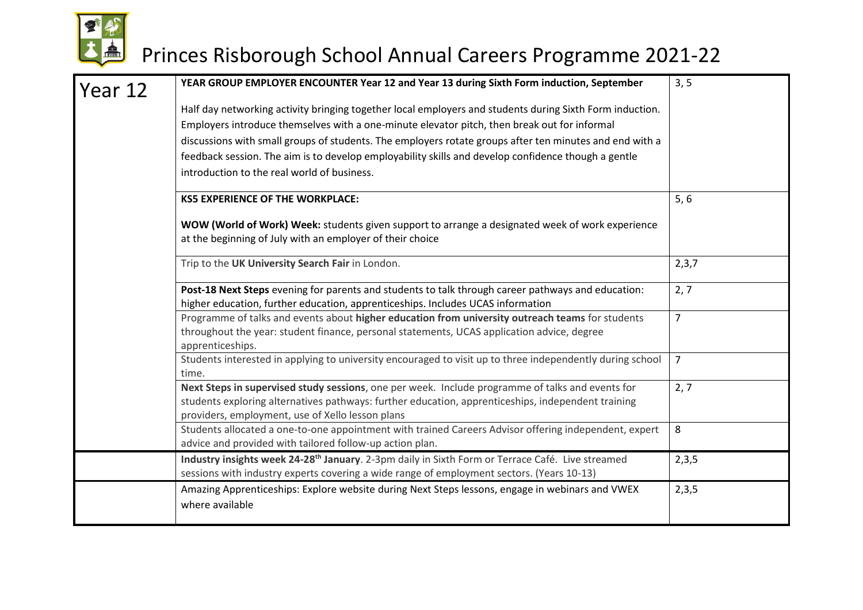

| Year 12 | YEAR GROUP EMPLOYER ENCOUNTER Year 12 and Year 13 during Sixth Form induction, September                                                                      | 3, 5           |
|---------|---------------------------------------------------------------------------------------------------------------------------------------------------------------|----------------|
|         | Half day networking activity bringing together local employers and students during Sixth Form induction.                                                      |                |
|         | Employers introduce themselves with a one-minute elevator pitch, then break out for informal                                                                  |                |
|         | discussions with small groups of students. The employers rotate groups after ten minutes and end with a                                                       |                |
|         | feedback session. The aim is to develop employability skills and develop confidence though a gentle                                                           |                |
|         | introduction to the real world of business.                                                                                                                   |                |
|         | <b>KS5 EXPERIENCE OF THE WORKPLACE:</b>                                                                                                                       | 5, 6           |
|         | WOW (World of Work) Week: students given support to arrange a designated week of work experience<br>at the beginning of July with an employer of their choice |                |
|         | Trip to the UK University Search Fair in London.                                                                                                              | 2,3,7          |
|         | Post-18 Next Steps evening for parents and students to talk through career pathways and education:                                                            | 2, 7           |
|         | higher education, further education, apprenticeships. Includes UCAS information                                                                               |                |
|         | Programme of talks and events about higher education from university outreach teams for students                                                              | $\overline{7}$ |
|         | throughout the year: student finance, personal statements, UCAS application advice, degree                                                                    |                |
|         | apprenticeships.                                                                                                                                              |                |
|         | Students interested in applying to university encouraged to visit up to three independently during school<br>time.                                            | $\overline{7}$ |
|         | Next Steps in supervised study sessions, one per week. Include programme of talks and events for                                                              | 2, 7           |
|         | students exploring alternatives pathways: further education, apprenticeships, independent training                                                            |                |
|         | providers, employment, use of Xello lesson plans                                                                                                              |                |
|         | Students allocated a one-to-one appointment with trained Careers Advisor offering independent, expert                                                         | 8              |
|         | advice and provided with tailored follow-up action plan.                                                                                                      |                |
|         | Industry insights week 24-28 <sup>th</sup> January. 2-3pm daily in Sixth Form or Terrace Café. Live streamed                                                  | 2,3,5          |
|         | sessions with industry experts covering a wide range of employment sectors. (Years 10-13)                                                                     |                |
|         | Amazing Apprenticeships: Explore website during Next Steps lessons, engage in webinars and VWEX                                                               | 2,3,5          |
|         | where available                                                                                                                                               |                |